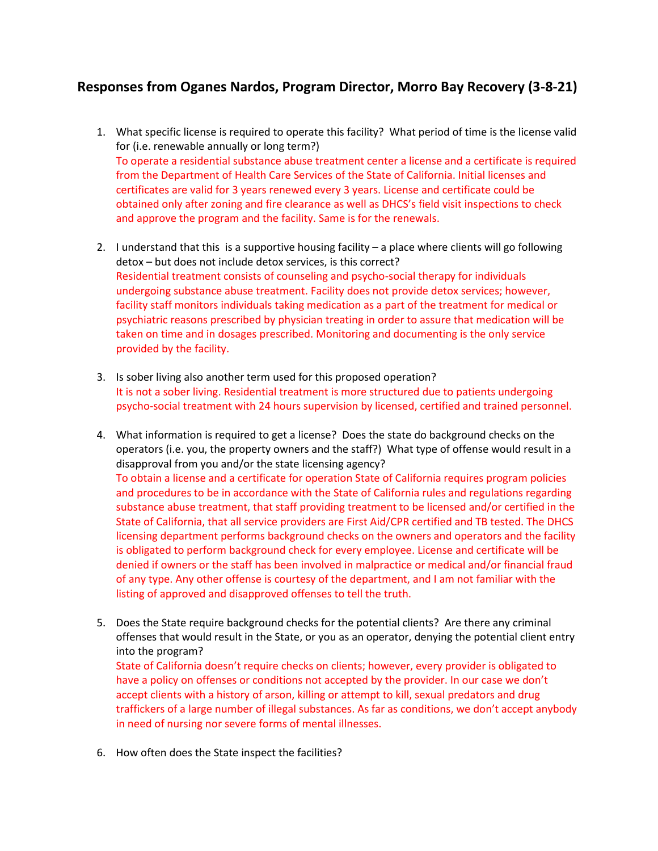## **Responses from Oganes Nardos, Program Director, Morro Bay Recovery (3-8-21)**

- 1. What specific license is required to operate this facility? What period of time is the license valid for (i.e. renewable annually or long term?) To operate a residential substance abuse treatment center a license and a certificate is required from the Department of Health Care Services of the State of California. Initial licenses and certificates are valid for 3 years renewed every 3 years. License and certificate could be obtained only after zoning and fire clearance as well as DHCS's field visit inspections to check and approve the program and the facility. Same is for the renewals.
- 2. I understand that this is a supportive housing facility a place where clients will go following detox – but does not include detox services, is this correct? Residential treatment consists of counseling and psycho-social therapy for individuals undergoing substance abuse treatment. Facility does not provide detox services; however, facility staff monitors individuals taking medication as a part of the treatment for medical or psychiatric reasons prescribed by physician treating in order to assure that medication will be taken on time and in dosages prescribed. Monitoring and documenting is the only service provided by the facility.
- 3. Is sober living also another term used for this proposed operation? It is not a sober living. Residential treatment is more structured due to patients undergoing psycho-social treatment with 24 hours supervision by licensed, certified and trained personnel.
- 4. What information is required to get a license? Does the state do background checks on the operators (i.e. you, the property owners and the staff?) What type of offense would result in a disapproval from you and/or the state licensing agency? To obtain a license and a certificate for operation State of California requires program policies and procedures to be in accordance with the State of California rules and regulations regarding substance abuse treatment, that staff providing treatment to be licensed and/or certified in the State of California, that all service providers are First Aid/CPR certified and TB tested. The DHCS licensing department performs background checks on the owners and operators and the facility is obligated to perform background check for every employee. License and certificate will be denied if owners or the staff has been involved in malpractice or medical and/or financial fraud of any type. Any other offense is courtesy of the department, and I am not familiar with the listing of approved and disapproved offenses to tell the truth.
- 5. Does the State require background checks for the potential clients? Are there any criminal offenses that would result in the State, or you as an operator, denying the potential client entry into the program?

State of California doesn't require checks on clients; however, every provider is obligated to have a policy on offenses or conditions not accepted by the provider. In our case we don't accept clients with a history of arson, killing or attempt to kill, sexual predators and drug traffickers of a large number of illegal substances. As far as conditions, we don't accept anybody in need of nursing nor severe forms of mental illnesses.

6. How often does the State inspect the facilities?